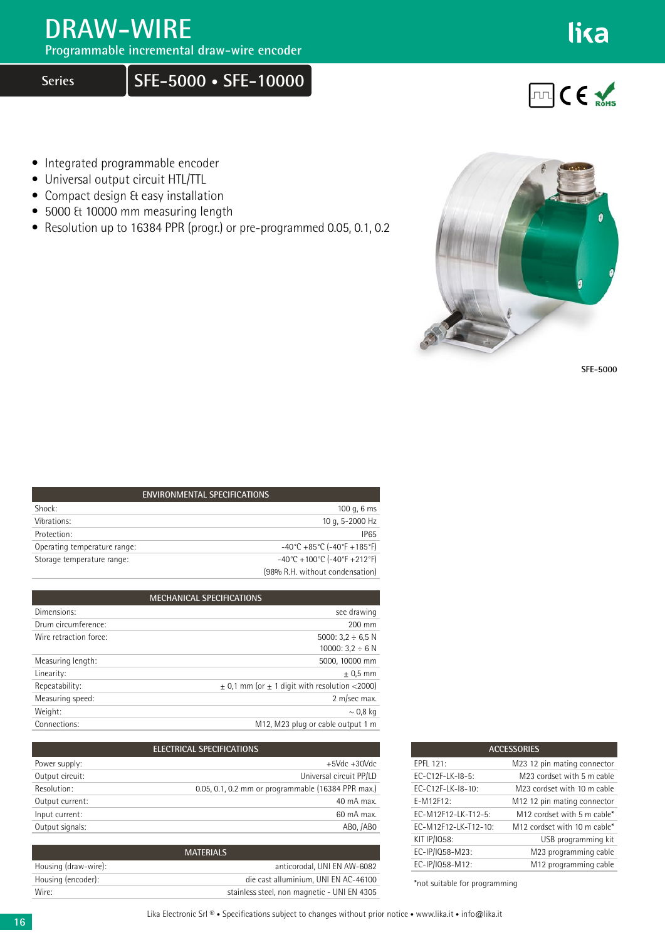## **DRAW-WIRE**

**Programmable incremental draw-wire encoder**

**Series SFE-5000 • SFE-10000**

**FILICE** 

lika

- Integrated programmable encoder
- Universal output circuit HTL/TTL
- Compact design & easy installation
- 5000 & 10000 mm measuring length
- Resolution up to 16384 PPR (progr.) or pre-programmed 0.05, 0.1, 0.2



**SFE-5000**

| <b>ENVIRONMENTAL SPECIFICATIONS</b> |                                                                          |  |  |  |  |  |
|-------------------------------------|--------------------------------------------------------------------------|--|--|--|--|--|
| Shock:                              | 100 g, $6 \text{ ms}$                                                    |  |  |  |  |  |
| Vibrations:                         | 10 g, 5-2000 Hz                                                          |  |  |  |  |  |
| Protection:                         | <b>IP65</b>                                                              |  |  |  |  |  |
| Operating temperature range:        | $-40^{\circ}$ C +85 $^{\circ}$ C (-40 $^{\circ}$ F +185 $^{\circ}$ F)    |  |  |  |  |  |
| Storage temperature range:          | $-40^{\circ}$ C + 100 $^{\circ}$ C (-40 $^{\circ}$ F + 212 $^{\circ}$ F) |  |  |  |  |  |
|                                     | (98% R.H. without condensation)                                          |  |  |  |  |  |

| <b>MECHANICAL SPECIFICATIONS</b> |                                                       |  |  |  |  |  |
|----------------------------------|-------------------------------------------------------|--|--|--|--|--|
| Dimensions:                      | see drawing                                           |  |  |  |  |  |
| Drum circumference:              | 200 mm                                                |  |  |  |  |  |
| Wire retraction force:           | 5000: $3.2 \div 6.5$ N                                |  |  |  |  |  |
|                                  | 10000: $3.2 \div 6$ N                                 |  |  |  |  |  |
| Measuring length:                | 5000, 10000 mm                                        |  |  |  |  |  |
| Linearity:                       | $± 0.5$ mm                                            |  |  |  |  |  |
| Repeatability:                   | $\pm$ 0.1 mm (or $\pm$ 1 digit with resolution <2000) |  |  |  |  |  |
| Measuring speed:                 | 2 m/sec max.                                          |  |  |  |  |  |
| Weight:                          | $\sim$ 0,8 kg                                         |  |  |  |  |  |
| Connections:                     | M12, M23 plug or cable output 1 m                     |  |  |  |  |  |

| ELECTRICAL SPECIFICATIONS |                                                    |  |  |  |  |
|---------------------------|----------------------------------------------------|--|--|--|--|
| Power supply:             | $+5$ Vdc $+30$ Vdc                                 |  |  |  |  |
| Output circuit:           | Universal circuit PP/LD                            |  |  |  |  |
| Resolution:               | 0.05, 0.1, 0.2 mm or programmable (16384 PPR max.) |  |  |  |  |
| Output current:           | 40 mA max.                                         |  |  |  |  |
| Input current:            | 60 mA max.                                         |  |  |  |  |
| Output signals:           | ABO, /ABO                                          |  |  |  |  |

| <b>MATERIALS</b>     |                                             |  |  |  |  |  |
|----------------------|---------------------------------------------|--|--|--|--|--|
| Housing (draw-wire): | anticorodal. UNI EN AW-6082                 |  |  |  |  |  |
| Housing (encoder):   | die cast alluminium. UNI EN AC-46100        |  |  |  |  |  |
| Wire:                | stainless steel, non magnetic - UNI EN 4305 |  |  |  |  |  |

| <b>ACCESSORIES</b>   |                                         |  |  |  |  |
|----------------------|-----------------------------------------|--|--|--|--|
| FPFL 121:            | M23 12 pin mating connector             |  |  |  |  |
| FC-C12F-LK-I8-5:     | M23 cordset with 5 m cable              |  |  |  |  |
| $FC-C12F-LK-18-10:$  | M23 cordset with 10 m cable             |  |  |  |  |
| E-M12F12:            | M <sub>12</sub> 12 pin mating connector |  |  |  |  |
| EC-M12F12-LK-T12-5:  | M12 cordset with 5 m cable*             |  |  |  |  |
| EC-M12F12-LK-T12-10: | M12 cordset with 10 m cable*            |  |  |  |  |
| KIT IP/IQ58:         | USB programming kit                     |  |  |  |  |
| EC-IP/IQ58-M23:      | M23 programming cable                   |  |  |  |  |
| EC-IP/IQ58-M12:      | M12 programming cable                   |  |  |  |  |

\*not suitable for programming